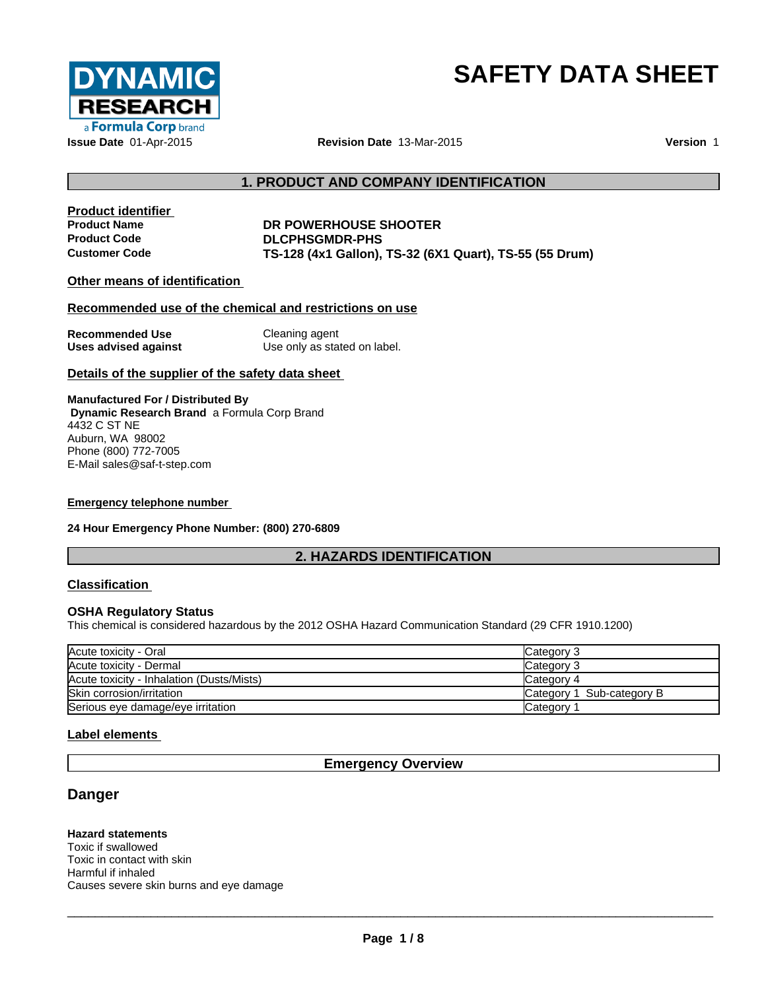

# **SAFETY DATA SHEET**

## **1. PRODUCT AND COMPANY IDENTIFICATION**

# **Product identifier**

**Product Name DR POWERHOUSE SHOOTER Product Code DLCPHSGMDR-PHS Customer Code TS-128 (4x1 Gallon), TS-32 (6X1 Quart), TS-55 (55 Drum)**

## **Other means of identification**

## **Recommended use of the chemical and restrictions on use**

**Recommended Use Cleaning agent Uses advised against** Use only as stated on label.

#### **Details of the supplier of the safety data sheet**

**Manufactured For / Distributed By Dynamic Research Brand** a Formula Corp Brand 4432 C ST NE Auburn, WA 98002 Phone (800) 772-7005 E-Mail sales@saf-t-step.com

#### **Emergency telephone number**

**24 Hour Emergency Phone Number: (800) 270-6809**

## **2. HAZARDS IDENTIFICATION**

## **Classification**

## **OSHA Regulatory Status**

This chemical is considered hazardous by the 2012 OSHA Hazard Communication Standard (29 CFR 1910.1200)

| Acute toxicity - Oral                     | Category 3                |
|-------------------------------------------|---------------------------|
| Acute toxicity - Dermal                   | Category 3                |
| Acute toxicity - Inhalation (Dusts/Mists) | Category 4                |
| Skin corrosion/irritation                 | Category 1 Sub-category B |
| Serious eye damage/eye irritation         | Category                  |

## **Label elements**

## **Emergency Overview**

## **Danger**

#### **Hazard statements**

Toxic if swallowed Toxic in contact with skin Harmful if inhaled Causes severe skin burns and eye damage

 $\overline{\phantom{a}}$  ,  $\overline{\phantom{a}}$  ,  $\overline{\phantom{a}}$  ,  $\overline{\phantom{a}}$  ,  $\overline{\phantom{a}}$  ,  $\overline{\phantom{a}}$  ,  $\overline{\phantom{a}}$  ,  $\overline{\phantom{a}}$  ,  $\overline{\phantom{a}}$  ,  $\overline{\phantom{a}}$  ,  $\overline{\phantom{a}}$  ,  $\overline{\phantom{a}}$  ,  $\overline{\phantom{a}}$  ,  $\overline{\phantom{a}}$  ,  $\overline{\phantom{a}}$  ,  $\overline{\phantom{a}}$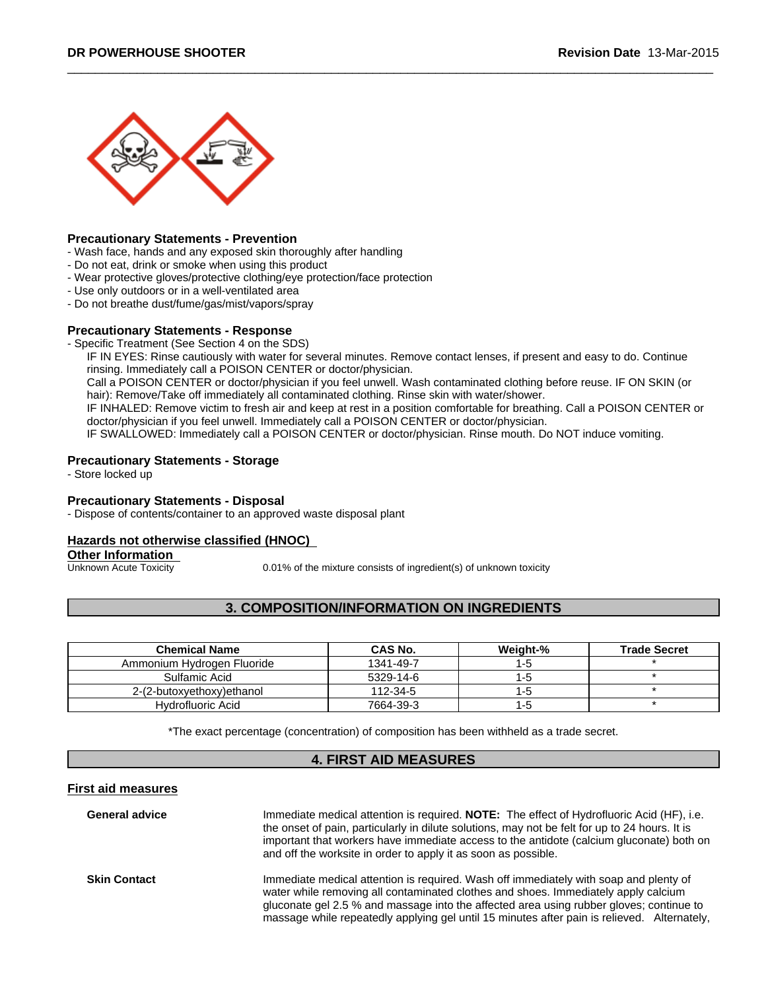

## **Precautionary Statements - Prevention**

- Wash face, hands and any exposed skin thoroughly after handling

- Do not eat, drink or smoke when using this product
- Wear protective gloves/protective clothing/eye protection/face protection
- Use only outdoors or in a well-ventilated area
- Do not breathe dust/fume/gas/mist/vapors/spray

#### **Precautionary Statements - Response**

- Specific Treatment (See Section 4 on the SDS)

IF IN EYES: Rinse cautiously with water for several minutes. Remove contact lenses, if present and easy to do. Continue rinsing. Immediately call a POISON CENTER or doctor/physician.

Call a POISON CENTER or doctor/physician if you feel unwell. Wash contaminated clothing before reuse. IF ON SKIN (or hair): Remove/Take off immediately all contaminated clothing. Rinse skin with water/shower.

IF INHALED: Remove victim to fresh air and keep at rest in a position comfortable for breathing. Call a POISON CENTER or doctor/physician if you feel unwell. Immediately call a POISON CENTER or doctor/physician.

IF SWALLOWED: Immediately call a POISON CENTER or doctor/physician. Rinse mouth. Do NOT induce vomiting.

## **Precautionary Statements - Storage**

- Store locked up

#### **Precautionary Statements - Disposal**

- Dispose of contents/container to an approved waste disposal plant

#### **Hazards not otherwise classified (HNOC)**

**Other Information**<br>Unknown Acute Toxicity

0.01% of the mixture consists of ingredient(s) of unknown toxicity

## **3. COMPOSITION/INFORMATION ON INGREDIENTS**

| <b>Chemical Name</b>       | CAS No.   | Weight-% | <b>Trade Secret</b> |
|----------------------------|-----------|----------|---------------------|
| Ammonium Hydrogen Fluoride | 1341-49-7 |          |                     |
| Sulfamic Acid              | 5329-14-6 |          |                     |
| 2-(2-butoxyethoxy)ethanol  | 112-34-5  | I - O    |                     |
| Hvdrofluoric Acid          | 7664-39-3 | ה-ו      |                     |

\*The exact percentage (concentration) of composition has been withheld as a trade secret.

#### **4. FIRST AID MEASURES**

#### **First aid measures**

| <b>General advice</b> | Immediate medical attention is required. <b>NOTE:</b> The effect of Hydrofluoric Acid (HF), i.e.<br>the onset of pain, particularly in dilute solutions, may not be felt for up to 24 hours. It is<br>important that workers have immediate access to the antidote (calcium gluconate) both on<br>and off the worksite in order to apply it as soon as possible.      |
|-----------------------|-----------------------------------------------------------------------------------------------------------------------------------------------------------------------------------------------------------------------------------------------------------------------------------------------------------------------------------------------------------------------|
| <b>Skin Contact</b>   | Immediate medical attention is required. Wash off immediately with soap and plenty of<br>water while removing all contaminated clothes and shoes. Immediately apply calcium<br>gluconate gel 2.5 % and massage into the affected area using rubber gloves; continue to<br>massage while repeatedly applying gel until 15 minutes after pain is relieved. Alternately, |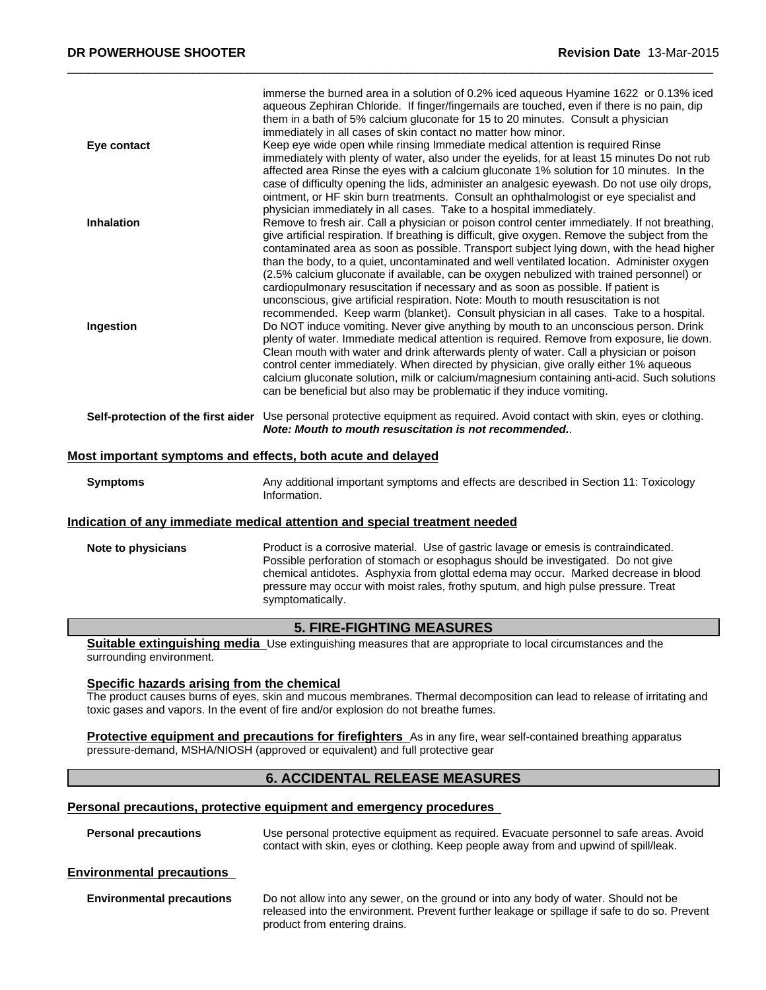| immerse the burned area in a solution of 0.2% iced aqueous Hyamine 1622 or 0.13% iced                                        |  |
|------------------------------------------------------------------------------------------------------------------------------|--|
| aqueous Zephiran Chloride. If finger/fingernails are touched, even if there is no pain, dip                                  |  |
| them in a bath of 5% calcium gluconate for 15 to 20 minutes. Consult a physician                                             |  |
| immediately in all cases of skin contact no matter how minor.                                                                |  |
| Keep eye wide open while rinsing Immediate medical attention is required Rinse<br>Eye contact                                |  |
| immediately with plenty of water, also under the eyelids, for at least 15 minutes Do not rub                                 |  |
| affected area Rinse the eyes with a calcium gluconate 1% solution for 10 minutes. In the                                     |  |
| case of difficulty opening the lids, administer an analgesic eyewash. Do not use oily drops,                                 |  |
| ointment, or HF skin burn treatments. Consult an ophthalmologist or eye specialist and                                       |  |
| physician immediately in all cases. Take to a hospital immediately.                                                          |  |
| Remove to fresh air. Call a physician or poison control center immediately. If not breathing,<br><b>Inhalation</b>           |  |
| give artificial respiration. If breathing is difficult, give oxygen. Remove the subject from the                             |  |
| contaminated area as soon as possible. Transport subject lying down, with the head higher                                    |  |
| than the body, to a quiet, uncontaminated and well ventilated location. Administer oxygen                                    |  |
| (2.5% calcium gluconate if available, can be oxygen nebulized with trained personnel) or                                     |  |
| cardiopulmonary resuscitation if necessary and as soon as possible. If patient is                                            |  |
| unconscious, give artificial respiration. Note: Mouth to mouth resuscitation is not                                          |  |
| recommended. Keep warm (blanket). Consult physician in all cases. Take to a hospital.                                        |  |
| Do NOT induce vomiting. Never give anything by mouth to an unconscious person. Drink<br>Ingestion                            |  |
| plenty of water. Immediate medical attention is required. Remove from exposure, lie down.                                    |  |
| Clean mouth with water and drink afterwards plenty of water. Call a physician or poison                                      |  |
| control center immediately. When directed by physician, give orally either 1% aqueous                                        |  |
| calcium gluconate solution, milk or calcium/magnesium containing anti-acid. Such solutions                                   |  |
| can be beneficial but also may be problematic if they induce vomiting.                                                       |  |
| Self-protection of the first aider Use personal protective equipment as required. Avoid contact with skin, eyes or clothing. |  |
| Note: Mouth to mouth resuscitation is not recommended.                                                                       |  |

#### **Most important symptoms and effects, both acute and delayed**

| Symptoms | Any additional important symptoms and effects are described in Section 11: Toxicology |
|----------|---------------------------------------------------------------------------------------|
|          | Information.                                                                          |

#### **Indication of any immediate medical attention and special treatment needed**

**Note to physicians** Product is a corrosive material. Use of gastric lavage or emesis is contraindicated. Possible perforation of stomach or esophagus should be investigated. Do not give chemical antidotes. Asphyxia from glottal edema may occur. Marked decrease in blood pressure may occur with moist rales, frothy sputum, and high pulse pressure. Treat symptomatically.

## **5. FIRE-FIGHTING MEASURES**

**Suitable extinguishing media** Use extinguishing measures that are appropriate to local circumstances and the surrounding environment.

## **Specific hazards arising from the chemical**

The product causes burns of eyes, skin and mucous membranes. Thermal decomposition can lead to release of irritating and toxic gases and vapors. In the event of fire and/or explosion do not breathe fumes.

**Protective equipment and precautions for firefighters** As in any fire, wear self-contained breathing apparatus pressure-demand, MSHA/NIOSH (approved or equivalent) and full protective gear

## **6. ACCIDENTAL RELEASE MEASURES**

#### **Personal precautions, protective equipment and emergency procedures**

**Personal precautions** Use personal protective equipment as required.Evacuate personnel to safe areas. Avoid contact with skin, eyes or clothing. Keep people away from and upwind of spill/leak.

## **Environmental precautions**

| <b>Environmental precautions</b> | Do not allow into any sewer, on the ground or into any body of water. Should not be          |
|----------------------------------|----------------------------------------------------------------------------------------------|
|                                  | released into the environment. Prevent further leakage or spillage if safe to do so. Prevent |
|                                  | product from entering drains.                                                                |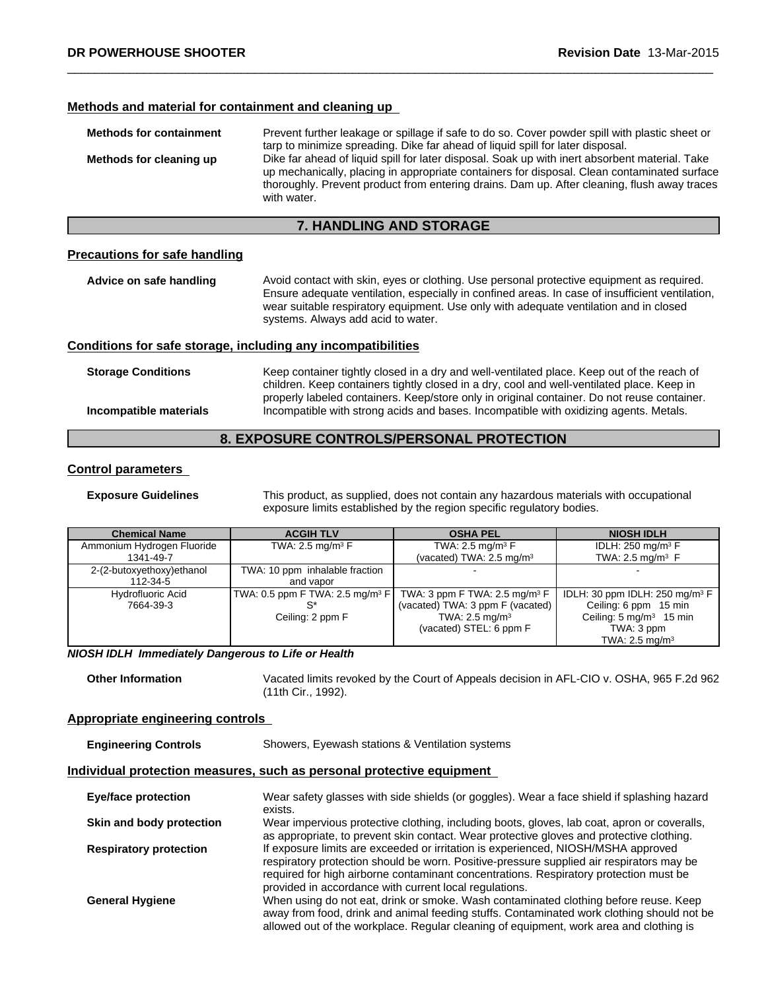#### **Methods and material for containment and cleaning up**

| <b>Methods for containment</b> | Prevent further leakage or spillage if safe to do so. Cover powder spill with plastic sheet or |
|--------------------------------|------------------------------------------------------------------------------------------------|
|                                | tarp to minimize spreading. Dike far ahead of liquid spill for later disposal.                 |
| Methods for cleaning up        | Dike far ahead of liquid spill for later disposal. Soak up with inert absorbent material. Take |
|                                | up mechanically, placing in appropriate containers for disposal. Clean contaminated surface    |
|                                | thoroughly. Prevent product from entering drains. Dam up. After cleaning, flush away traces    |
|                                | with water.                                                                                    |

## **7. HANDLING AND STORAGE**

## **Precautions for safe handling**

Advice on safe handling Avoid contact with skin, eyes or clothing. Use personal protective equipment as required.<br>Ensure adequate ventilation, especially in confined areas. In case of insufficient ventilation, wear suitable respiratory equipment. Use only with adequate ventilation and in closed systems. Always add acid to water.

#### **Conditions for safe storage, including any incompatibilities**

**Storage Conditions** Keep container tightly closed in a dry and well-ventilated place. Keep out of the reach of children. Keep containers tightly closed in a dry, cool and well-ventilated place. Keep in properly labeled containers. Keep/store only in original container. Do not reuse container. **Incompatible materials** Incompatible with strong acids and bases. Incompatible with oxidizing agents. Metals.

## **8. EXPOSURE CONTROLS/PERSONAL PROTECTION**

### **Control parameters**

**Exposure Guidelines** This product, as supplied, does not contain any hazardous materials with occupational exposure limits established by the region specific regulatory bodies.

| <b>Chemical Name</b>       | <b>ACGIH TLV</b>                            | <b>OSHA PEL</b>                          | <b>NIOSH IDLH</b>                            |
|----------------------------|---------------------------------------------|------------------------------------------|----------------------------------------------|
| Ammonium Hydrogen Fluoride | TWA: 2.5 mg/m <sup>3</sup> $F$              | TWA: 2.5 mg/m <sup>3</sup> $F$           | IDLH: 250 mg/m <sup>3</sup> F                |
| 1341-49-7                  |                                             | (vacated) TWA: $2.5 \text{ mg/m}^3$      | TWA: 2.5 mg/m <sup>3</sup> $\,$ F            |
| 2-(2-butoxyethoxy)ethanol  | TWA: 10 ppm inhalable fraction              |                                          |                                              |
| 112-34-5                   | and vapor                                   |                                          |                                              |
| <b>Hydrofluoric Acid</b>   | TWA: 0.5 ppm F TWA: 2.5 mg/m <sup>3</sup> F | TWA: 3 ppm F TWA: $2.5 \text{ mg/m}^3$ F | IDLH: 30 ppm IDLH: $250$ mg/m <sup>3</sup> F |
| 7664-39-3                  |                                             | (vacated) TWA: 3 ppm F (vacated)         | Ceiling: 6 ppm 15 min                        |
|                            | Ceiling: 2 ppm F                            | TWA: $2.5 \text{ mg/m}^3$                | Ceiling: $5 \text{ mg/m}^3$ 15 min           |
|                            |                                             | (vacated) STEL: 6 ppm F                  | TWA: 3 ppm                                   |
|                            |                                             |                                          | TWA: $2.5 \text{ mg/m}^3$                    |

*NIOSH IDLH Immediately Dangerous to Life or Health*

**Other Information** Vacated limits revoked by the Court of Appeals decision in AFL-CIO v.OSHA, 965 F.2d 962 (11th Cir., 1992).

#### **Appropriate engineering controls**

**Engineering Controls** Showers, Eyewash stations & Ventilation systems

## **Individual protection measures, such as personal protective equipment**

| <b>Eye/face protection</b>    | Wear safety glasses with side shields (or goggles). Wear a face shield if splashing hazard<br>exists.                                                                                                                                                                                                                            |
|-------------------------------|----------------------------------------------------------------------------------------------------------------------------------------------------------------------------------------------------------------------------------------------------------------------------------------------------------------------------------|
| Skin and body protection      | Wear impervious protective clothing, including boots, gloves, lab coat, apron or coveralls,<br>as appropriate, to prevent skin contact. Wear protective gloves and protective clothing.                                                                                                                                          |
| <b>Respiratory protection</b> | If exposure limits are exceeded or irritation is experienced, NIOSH/MSHA approved<br>respiratory protection should be worn. Positive-pressure supplied air respirators may be<br>required for high airborne contaminant concentrations. Respiratory protection must be<br>provided in accordance with current local regulations. |
| <b>General Hygiene</b>        | When using do not eat, drink or smoke. Wash contaminated clothing before reuse. Keep<br>away from food, drink and animal feeding stuffs. Contaminated work clothing should not be<br>allowed out of the workplace. Regular cleaning of equipment, work area and clothing is                                                      |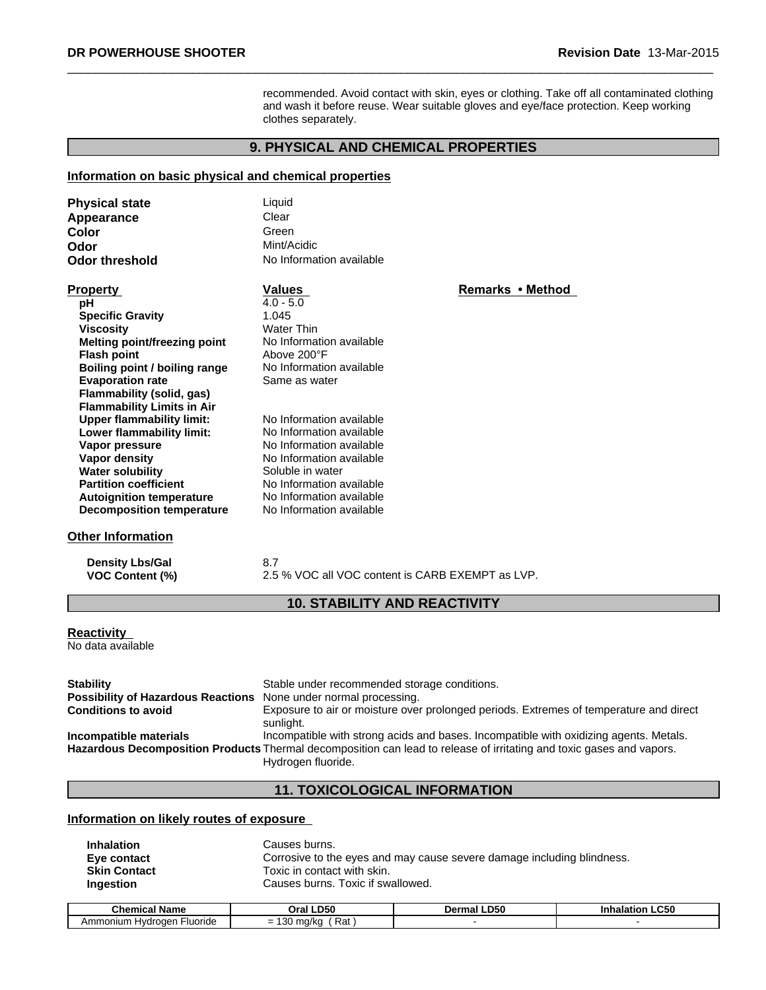recommended. Avoid contact with skin, eyes or clothing. Take off all contaminated clothing and wash it before reuse. Wear suitable gloves and eye/face protection. Keep working clothes separately.

## **9. PHYSICAL AND CHEMICAL PROPERTIES**

## **Information on basic physical and chemical properties**

| <b>Physical state</b>                  | Liquid                                               |                  |  |
|----------------------------------------|------------------------------------------------------|------------------|--|
| Appearance                             | Clear                                                |                  |  |
| Color                                  | Green                                                |                  |  |
| Odor                                   | Mint/Acidic                                          |                  |  |
| <b>Odor threshold</b>                  | No Information available                             |                  |  |
| <b>Property</b>                        | <b>Values</b>                                        | Remarks • Method |  |
| рH                                     | $4.0 - 5.0$                                          |                  |  |
| <b>Specific Gravity</b>                | 1.045                                                |                  |  |
| <b>Viscosity</b>                       | <b>Water Thin</b>                                    |                  |  |
| <b>Melting point/freezing point</b>    | No Information available                             |                  |  |
| <b>Flash point</b>                     | Above 200°F                                          |                  |  |
| <b>Boiling point / boiling range</b>   | No Information available                             |                  |  |
| <b>Evaporation rate</b>                | Same as water                                        |                  |  |
| Flammability (solid, gas)              |                                                      |                  |  |
| <b>Flammability Limits in Air</b>      |                                                      |                  |  |
| <b>Upper flammability limit:</b>       | No Information available                             |                  |  |
| Lower flammability limit:              | No Information available                             |                  |  |
| Vapor pressure                         | No Information available                             |                  |  |
| Vapor density                          | No Information available                             |                  |  |
| <b>Water solubility</b>                | Soluble in water                                     |                  |  |
| <b>Partition coefficient</b>           | No Information available                             |                  |  |
| <b>Autoignition temperature</b>        | No Information available<br>No Information available |                  |  |
| <b>Decomposition temperature</b>       |                                                      |                  |  |
| <b>Other Information</b>               |                                                      |                  |  |
| <b>Density Lbs/Gal</b>                 | 8.7                                                  |                  |  |
| <b>VOC Content (%)</b>                 | 2.5 % VOC all VOC content is CARB EXEMPT as LVP.     |                  |  |
|                                        | <b>10. STABILITY AND REACTIVITY</b>                  |                  |  |
|                                        |                                                      |                  |  |
| <b>Reactivity</b><br>No doto ovojlohlo |                                                      |                  |  |
|                                        |                                                      |                  |  |

No data available

| <b>Stability</b>                                                 | Stable under recommended storage conditions.                                                                                               |
|------------------------------------------------------------------|--------------------------------------------------------------------------------------------------------------------------------------------|
| Possibility of Hazardous Reactions None under normal processing. |                                                                                                                                            |
| <b>Conditions to avoid</b>                                       | Exposure to air or moisture over prolonged periods. Extremes of temperature and direct<br>sunlight.                                        |
| Incompatible materials                                           | Incompatible with strong acids and bases. Incompatible with oxidizing agents. Metals.                                                      |
|                                                                  | Hazardous Decomposition Products Thermal decomposition can lead to release of irritating and toxic gases and vapors.<br>Hydrogen fluoride. |

## **11. TOXICOLOGICAL INFORMATION**

## **Information on likely routes of exposure**

| <b>Inhalation</b>   | Causes burns.                                                          |
|---------------------|------------------------------------------------------------------------|
| Eve contact         | Corrosive to the eyes and may cause severe damage including blindness. |
| <b>Skin Contact</b> | Toxic in contact with skin.                                            |
| <b>Ingestion</b>    | Causes burns. Toxic if swallowed.                                      |

| Chemical<br>∵Name                          | ---<br>-D50<br>٦r      | ---<br>Jerma<br>-D50 | -C50 -<br>Inhalatio |
|--------------------------------------------|------------------------|----------------------|---------------------|
| Hvdroaen<br>-luoride<br>າເບm<br>nor<br>₩mr | $\sim$<br>้ Raเ<br>. . |                      |                     |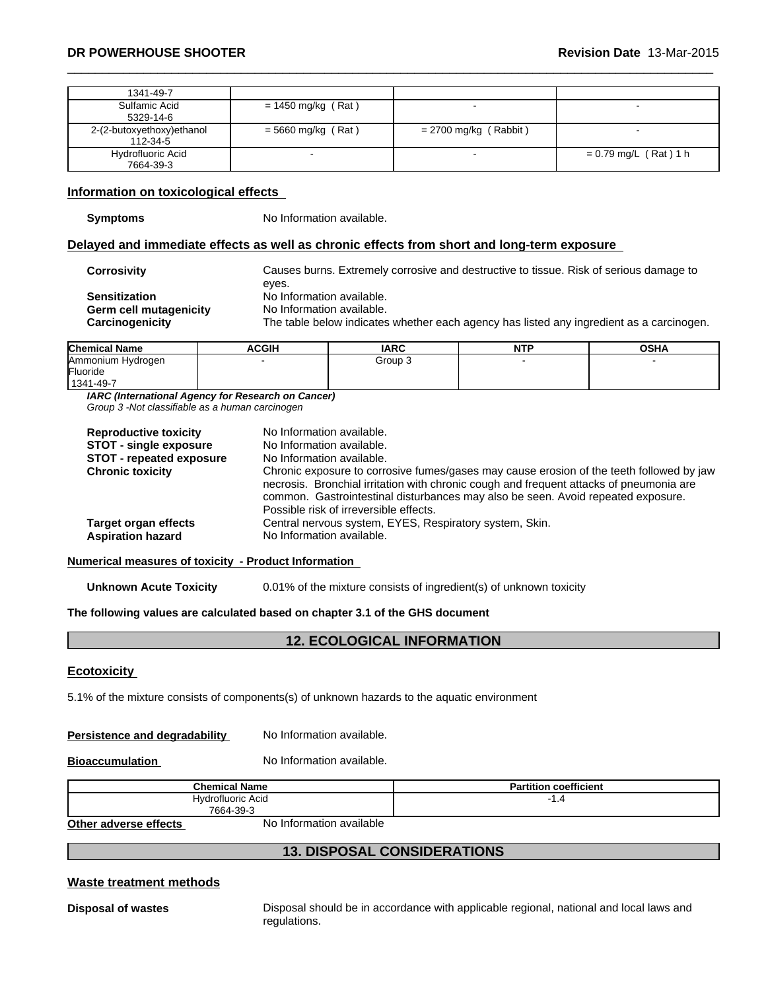## \_\_\_\_\_\_\_\_\_\_\_\_\_\_\_\_\_\_\_\_\_\_\_\_\_\_\_\_\_\_\_\_\_\_\_\_\_\_\_\_\_\_\_\_\_\_\_\_\_\_\_\_\_\_\_\_\_\_\_\_\_\_\_\_\_\_\_\_\_\_\_\_\_\_\_\_\_\_\_\_\_\_\_\_\_\_\_\_\_\_\_\_\_ **DR POWERHOUSE SHOOTER Revision Date** 13-Mar-2015

| 1341-49-7                  |                      |                          |                         |
|----------------------------|----------------------|--------------------------|-------------------------|
| Sulfamic Acid              | = 1450 mg/kg (Rat)   |                          |                         |
| 5329-14-6                  |                      |                          |                         |
| 2-(2-butoxyethoxy) ethanol | $=$ 5660 mg/kg (Rat) | $= 2700$ mg/kg (Rabbit)  |                         |
| 112-34-5                   |                      |                          |                         |
| <b>Hydrofluoric Acid</b>   |                      | $\overline{\phantom{a}}$ | $= 0.79$ mg/L (Rat) 1 h |
| 7664-39-3                  |                      |                          |                         |

## **Information on toxicological effects**

**Symptoms** No Information available.

#### **Delayed and immediate effects as well as chronic effects from short and long-term exposure**

**Corrosivity** Causes burns. Extremely corrosive and destructive to tissue. Risk of serious damage to eyes.

| Sensitization          |  |
|------------------------|--|
| Germ cell mutagenicity |  |
| Carcinogenicity        |  |

**No Information available.** No Information available. The table below indicates whether each agency has listed any ingredient as a carcinogen.

| <b>Chemical Name</b>           | <b>ACGIH</b> | <b>IARC</b> | <b>NTI</b> | <b>OCUA</b><br>אחטע |
|--------------------------------|--------------|-------------|------------|---------------------|
| Ammonium Hydrogen <br>Fluoride |              | Group 3     |            |                     |
| 1341-49-7                      |              |             |            |                     |

*IARC (International Agency for Research on Cancer)*

*Group 3 -Not classifiable as a human carcinogen*

| <b>Reproductive toxicity</b>                            | No Information available.                                                                                                                                                                                                                                                                                         |
|---------------------------------------------------------|-------------------------------------------------------------------------------------------------------------------------------------------------------------------------------------------------------------------------------------------------------------------------------------------------------------------|
| <b>STOT - single exposure</b>                           | No Information available.                                                                                                                                                                                                                                                                                         |
| <b>STOT - repeated exposure</b>                         | No Information available.                                                                                                                                                                                                                                                                                         |
| <b>Chronic toxicity</b>                                 | Chronic exposure to corrosive fumes/gases may cause erosion of the teeth followed by jaw<br>necrosis. Bronchial irritation with chronic cough and frequent attacks of pneumonia are<br>common. Gastrointestinal disturbances may also be seen. Avoid repeated exposure.<br>Possible risk of irreversible effects. |
| <b>Target organ effects</b><br><b>Aspiration hazard</b> | Central nervous system, EYES, Respiratory system, Skin.<br>No Information available.                                                                                                                                                                                                                              |
|                                                         |                                                                                                                                                                                                                                                                                                                   |

## **Numerical measures of toxicity - Product Information**

**Unknown Acute Toxicity** 0.01% of the mixture consists of ingredient(s) of unknown toxicity

#### **The following values are calculated based on chapter 3.1 of the GHS document**

## **12. ECOLOGICAL INFORMATION**

#### **Ecotoxicity**

5.1% of the mixture consists of components(s) of unknown hazards to the aquatic environment

**Persistence and degradability** No Information available.

**Bioaccumulation** No Information available.

| <br>$  -$<br>coefficient<br>Name<br>artitior <sup>.</sup> |
|-----------------------------------------------------------|
| Hvdrofluoric Acid<br>$\cdot$ 1.4                          |
|                                                           |

**Other adverse effects** No Information available

## **13. DISPOSAL CONSIDERATIONS**

## **Waste treatment methods**

**Disposal of wastes** Disposal should be in accordance with applicable regional, national and local laws and regulations.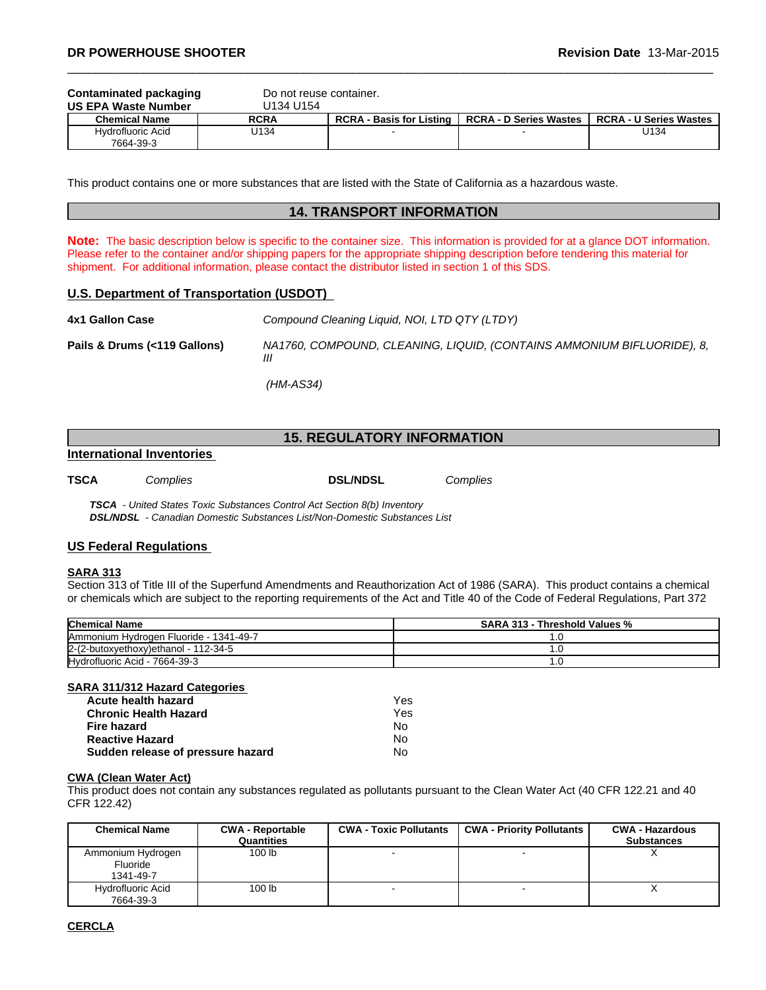## **Contaminated packaging Do not reuse container.**

| <b>US EPA Waste Number</b>     | U134 U154   |                                 |                               |                               |
|--------------------------------|-------------|---------------------------------|-------------------------------|-------------------------------|
| <b>Chemical Name</b>           | <b>RCRA</b> | <b>RCRA - Basis for Listing</b> | <b>RCRA - D Series Wastes</b> | <b>RCRA - U Series Wastes</b> |
| Hvdrofluoric Acid<br>7664-39-3 | J134        |                                 |                               | U134                          |

This product contains one or more substances that are listed with the State of California as a hazardous waste.

## **14. TRANSPORT INFORMATION**

**Note:** The basic description below is specific to the container size. This information is provided for at a glance DOT information. Please refer to the container and/or shipping papers for the appropriate shipping description before tendering this material for shipment. For additional information, please contact the distributor listed in section 1 of this SDS.

## **U.S. Department of Transportation (USDOT)**

| 4x1 Gallon Case              | Compound Cleaning Liquid, NOI, LTD QTY (LTDY)                               |
|------------------------------|-----------------------------------------------------------------------------|
| Pails & Drums (<119 Gallons) | NA1760, COMPOUND, CLEANING, LIQUID, (CONTAINS AMMONIUM BIFLUORIDE), 8,<br>Ш |
|                              | (HM-AS34)                                                                   |

## **15. REGULATORY INFORMATION**

### **International Inventories**

 *TSCA - United States Toxic Substances Control Act Section 8(b) Inventory DSL/NDSL - Canadian Domestic Substances List/Non-Domestic Substances List*

#### **US Federal Regulations**

#### **SARA 313**

Section 313 of Title III of the Superfund Amendments and Reauthorization Act of 1986 (SARA). This product contains a chemical or chemicals which are subject to the reporting requirements of the Act and Title 40 of the Code of Federal Regulations, Part 372

| <b>Chemical Name</b>                                 | <b>SARA 313 - Threshold Values %</b> |  |
|------------------------------------------------------|--------------------------------------|--|
| - 1341-49-7<br><b>Ammonium Hydrogen Fluoride - 1</b> | .u                                   |  |
| $2-(2-butoxyethoxy)ethanol - 112-34-5$               | . . U                                |  |
| Hydrofluoric Acid - 7664-39-3                        | $\cdot$ . U                          |  |

#### **SARA 311/312 Hazard Categories**

| Acute health hazard               | Yes |
|-----------------------------------|-----|
| <b>Chronic Health Hazard</b>      | Yes |
| Fire hazard                       | N٥  |
| <b>Reactive Hazard</b>            | N٥  |
| Sudden release of pressure hazard | No  |

#### **CWA** (Clean Water Act)

This product does not contain any substances regulated as pollutants pursuant to the Clean Water Act (40 CFR 122.21 and 40 CFR 122.42)

| <b>Chemical Name</b>                       | <b>CWA - Reportable</b><br>Quantities | <b>CWA - Toxic Pollutants</b> | <b>CWA - Priority Pollutants</b> | <b>CWA - Hazardous</b><br><b>Substances</b> |
|--------------------------------------------|---------------------------------------|-------------------------------|----------------------------------|---------------------------------------------|
| Ammonium Hydrogen<br>Fluoride<br>1341-49-7 | 100 <sub>lb</sub>                     |                               |                                  | $\lambda$                                   |
| Hydrofluoric Acid<br>7664-39-3             | 100 <sub>lb</sub>                     |                               |                                  |                                             |